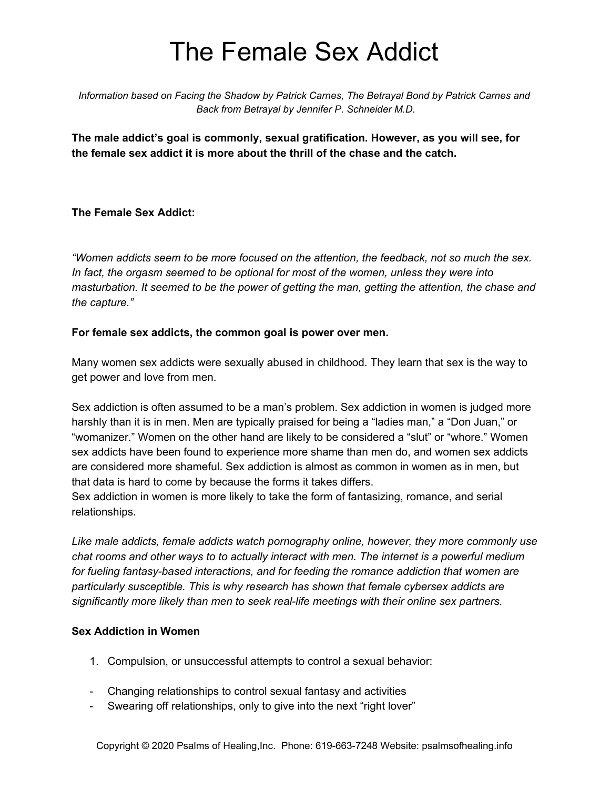# The Female Sex Addict

*Information based on Facing the Shadow by Patrick Carnes, The Betrayal Bond by Patrick Carnes and Back from Betrayal by Jennifer P. Schneider M.D.*

**The male addict's goal is commonly, sexual gratification. However, as you will see, for the female sex addict it is more about the thrill of the chase and the catch.**

## **The Female Sex Addict:**

*"Women addicts seem to be more focused on the attention, the feedback, not so much the sex. In fact, the orgasm seemed to be optional for most of the women, unless they were into masturbation. It seemed to be the power of getting the man, getting the attention, the chase and the capture."*

#### **For female sex addicts, the common goal is power over men.**

Many women sex addicts were sexually abused in childhood. They learn that sex is the way to get power and love from men.

Sex addiction is often assumed to be a man's problem. Sex addiction in women is judged more harshly than it is in men. Men are typically praised for being a "ladies man," a "Don Juan," or "womanizer." Women on the other hand are likely to be considered a "slut" or "whore." Women sex addicts have been found to experience more shame than men do, and women sex addicts are considered more shameful. Sex addiction is almost as common in women as in men, but that data is hard to come by because the forms it takes differs.

Sex addiction in women is more likely to take the form of fantasizing, romance, and serial relationships.

*Like male addicts, female addicts watch pornography online, however, they more commonly use chat rooms and other ways to to actually interact with men. The internet is a powerful medium for fueling fantasy-based interactions, and for feeding the romance addiction that women are particularly susceptible. This is why research has shown that female cybersex addicts are significantly more likely than men to seek real-life meetings with their online sex partners.*

# **Sex Addiction in Women**

- 1. Compulsion, or unsuccessful attempts to control a sexual behavior:
- Changing relationships to control sexual fantasy and activities
- Swearing off relationships, only to give into the next "right lover"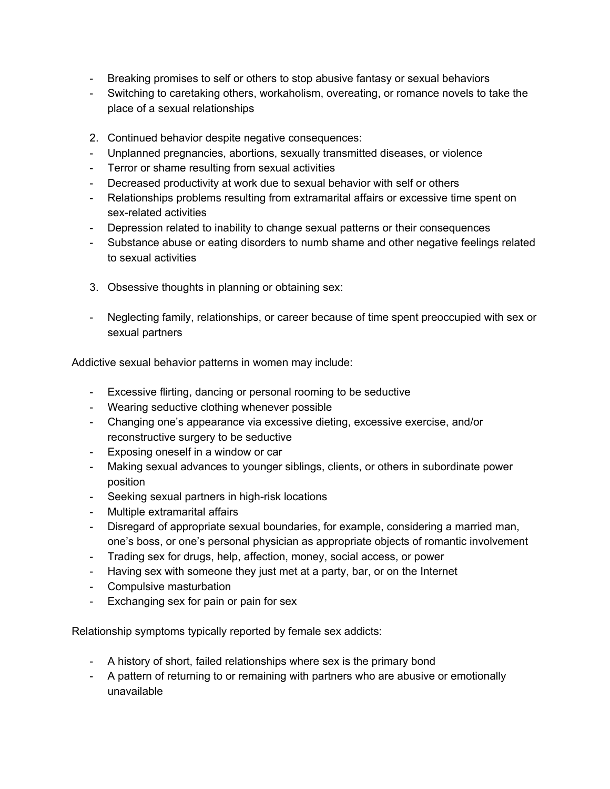- Breaking promises to self or others to stop abusive fantasy or sexual behaviors
- Switching to caretaking others, workaholism, overeating, or romance novels to take the place of a sexual relationships
- 2. Continued behavior despite negative consequences:
- Unplanned pregnancies, abortions, sexually transmitted diseases, or violence
- Terror or shame resulting from sexual activities
- Decreased productivity at work due to sexual behavior with self or others
- Relationships problems resulting from extramarital affairs or excessive time spent on sex-related activities
- Depression related to inability to change sexual patterns or their consequences
- Substance abuse or eating disorders to numb shame and other negative feelings related to sexual activities
- 3. Obsessive thoughts in planning or obtaining sex:
- Neglecting family, relationships, or career because of time spent preoccupied with sex or sexual partners

Addictive sexual behavior patterns in women may include:

- Excessive flirting, dancing or personal rooming to be seductive
- Wearing seductive clothing whenever possible
- Changing one's appearance via excessive dieting, excessive exercise, and/or reconstructive surgery to be seductive
- Exposing oneself in a window or car
- Making sexual advances to younger siblings, clients, or others in subordinate power position
- Seeking sexual partners in high-risk locations
- Multiple extramarital affairs
- Disregard of appropriate sexual boundaries, for example, considering a married man, one's boss, or one's personal physician as appropriate objects of romantic involvement
- Trading sex for drugs, help, affection, money, social access, or power
- Having sex with someone they just met at a party, bar, or on the Internet
- Compulsive masturbation
- Exchanging sex for pain or pain for sex

Relationship symptoms typically reported by female sex addicts:

- A history of short, failed relationships where sex is the primary bond
- A pattern of returning to or remaining with partners who are abusive or emotionally unavailable